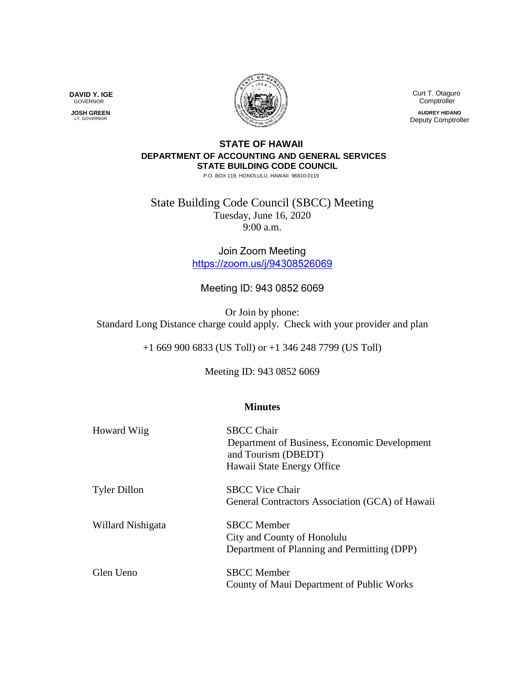

 Curt T. Otaguro Comptroller

**AUDREY HIDANO** Deputy Comptroller

## **STATE OF HAWAII DEPARTMENT OF ACCOUNTING AND GENERAL SERVICES STATE BUILDING CODE COUNCIL**

P.O. BOX 119, HONOLULU, HAWAII 96810-0119

State Building Code Council (SBCC) Meeting Tuesday, June 16, 2020 9:00 a.m.

> Join Zoom Meeting <https://zoom.us/j/94308526069>

## Meeting ID: 943 0852 6069

Or Join by phone: Standard Long Distance charge could apply. Check with your provider and plan

+1 669 900 6833 (US Toll) or +1 346 248 7799 (US Toll)

Meeting ID: 943 0852 6069

## **Minutes**

| Howard Wiig         | <b>SBCC Chair</b><br>Department of Business, Economic Development<br>and Tourism (DBEDT)<br>Hawaii State Energy Office |
|---------------------|------------------------------------------------------------------------------------------------------------------------|
| <b>Tyler Dillon</b> | <b>SBCC Vice Chair</b><br>General Contractors Association (GCA) of Hawaii                                              |
| Willard Nishigata   | <b>SBCC</b> Member<br>City and County of Honolulu<br>Department of Planning and Permitting (DPP)                       |
| Glen Ueno           | <b>SBCC</b> Member<br>County of Maui Department of Public Works                                                        |

**DAVID Y. IGE** GOVERNOR

 **JOSH GREEN** LT. GOVERNOR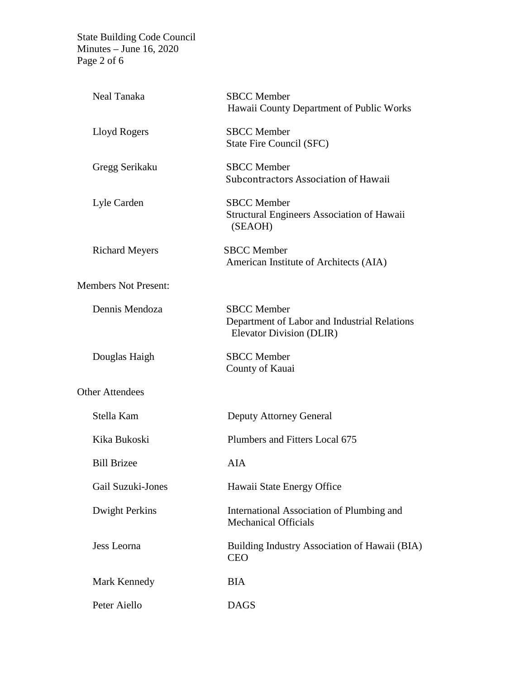State Building Code Council Minutes – June 16, 2020 Page 2 of 6

| Neal Tanaka                 | <b>SBCC</b> Member<br>Hawaii County Department of Public Works                                 |
|-----------------------------|------------------------------------------------------------------------------------------------|
| Lloyd Rogers                | <b>SBCC</b> Member<br>State Fire Council (SFC)                                                 |
| Gregg Serikaku              | <b>SBCC</b> Member<br>Subcontractors Association of Hawaii                                     |
| Lyle Carden                 | <b>SBCC</b> Member<br><b>Structural Engineers Association of Hawaii</b><br>(SEAOH)             |
| <b>Richard Meyers</b>       | <b>SBCC</b> Member<br>American Institute of Architects (AIA)                                   |
| <b>Members Not Present:</b> |                                                                                                |
| Dennis Mendoza              | <b>SBCC</b> Member<br>Department of Labor and Industrial Relations<br>Elevator Division (DLIR) |
| Douglas Haigh               | <b>SBCC</b> Member<br>County of Kauai                                                          |
| <b>Other Attendees</b>      |                                                                                                |
| Stella Kam                  | Deputy Attorney General                                                                        |
| Kika Bukoski                | Plumbers and Fitters Local 675                                                                 |
| <b>Bill Brizee</b>          | <b>AIA</b>                                                                                     |
| <b>Gail Suzuki-Jones</b>    | Hawaii State Energy Office                                                                     |
| <b>Dwight Perkins</b>       | International Association of Plumbing and<br><b>Mechanical Officials</b>                       |
| Jess Leorna                 | Building Industry Association of Hawaii (BIA)<br><b>CEO</b>                                    |
| Mark Kennedy                | <b>BIA</b>                                                                                     |
| Peter Aiello                | <b>DAGS</b>                                                                                    |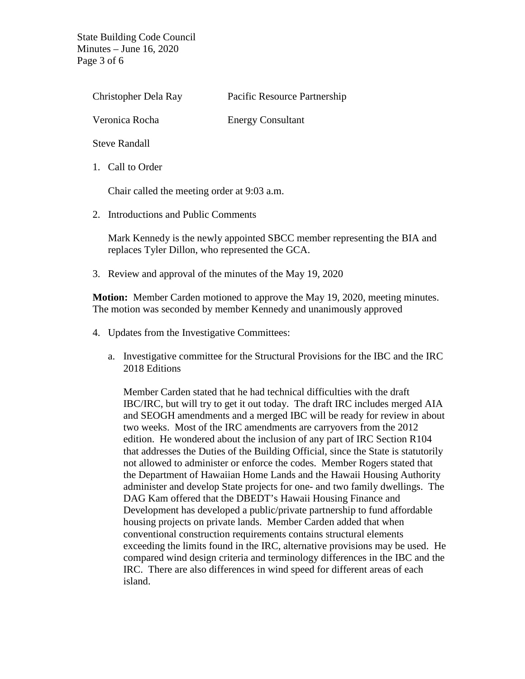State Building Code Council Minutes – June 16, 2020 Page 3 of 6

| Christopher Dela Ray | Pacific Resource Partnership |
|----------------------|------------------------------|
| Veronica Rocha       | <b>Energy Consultant</b>     |
| <b>Steve Randall</b> |                              |
|                      |                              |

1. Call to Order

Chair called the meeting order at 9:03 a.m.

2. Introductions and Public Comments

Mark Kennedy is the newly appointed SBCC member representing the BIA and replaces Tyler Dillon, who represented the GCA.

3. Review and approval of the minutes of the May 19, 2020

**Motion:** Member Carden motioned to approve the May 19, 2020, meeting minutes. The motion was seconded by member Kennedy and unanimously approved

- 4. Updates from the Investigative Committees:
	- a. Investigative committee for the Structural Provisions for the IBC and the IRC 2018 Editions

Member Carden stated that he had technical difficulties with the draft IBC/IRC, but will try to get it out today. The draft IRC includes merged AIA and SEOGH amendments and a merged IBC will be ready for review in about two weeks. Most of the IRC amendments are carryovers from the 2012 edition. He wondered about the inclusion of any part of IRC Section R104 that addresses the Duties of the Building Official, since the State is statutorily not allowed to administer or enforce the codes. Member Rogers stated that the Department of Hawaiian Home Lands and the Hawaii Housing Authority administer and develop State projects for one- and two family dwellings. The DAG Kam offered that the DBEDT's Hawaii Housing Finance and Development has developed a public/private partnership to fund affordable housing projects on private lands. Member Carden added that when conventional construction requirements contains structural elements exceeding the limits found in the IRC, alternative provisions may be used. He compared wind design criteria and terminology differences in the IBC and the IRC. There are also differences in wind speed for different areas of each island.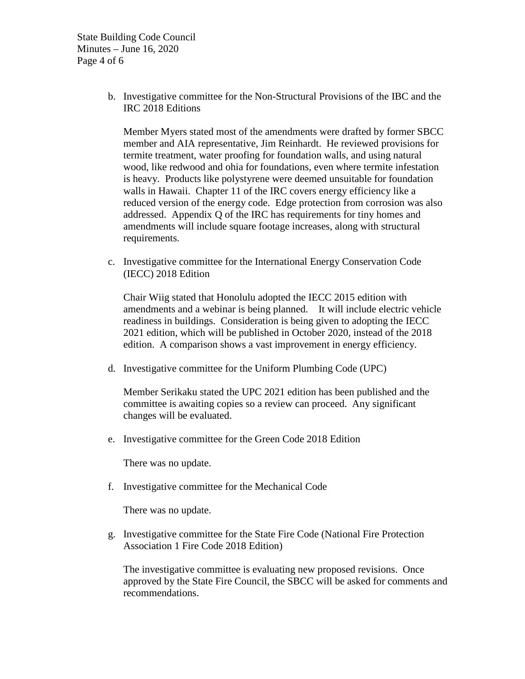State Building Code Council Minutes – June 16, 2020 Page 4 of 6

> b. Investigative committee for the Non-Structural Provisions of the IBC and the IRC 2018 Editions

Member Myers stated most of the amendments were drafted by former SBCC member and AIA representative, Jim Reinhardt. He reviewed provisions for termite treatment, water proofing for foundation walls, and using natural wood, like redwood and ohia for foundations, even where termite infestation is heavy. Products like polystyrene were deemed unsuitable for foundation walls in Hawaii. Chapter 11 of the IRC covers energy efficiency like a reduced version of the energy code. Edge protection from corrosion was also addressed. Appendix Q of the IRC has requirements for tiny homes and amendments will include square footage increases, along with structural requirements.

c. Investigative committee for the International Energy Conservation Code (IECC) 2018 Edition

Chair Wiig stated that Honolulu adopted the IECC 2015 edition with amendments and a webinar is being planned. It will include electric vehicle readiness in buildings. Consideration is being given to adopting the IECC 2021 edition, which will be published in October 2020, instead of the 2018 edition. A comparison shows a vast improvement in energy efficiency.

d. Investigative committee for the Uniform Plumbing Code (UPC)

Member Serikaku stated the UPC 2021 edition has been published and the committee is awaiting copies so a review can proceed. Any significant changes will be evaluated.

e. Investigative committee for the Green Code 2018 Edition

There was no update.

f. Investigative committee for the Mechanical Code

There was no update.

g. Investigative committee for the State Fire Code (National Fire Protection Association 1 Fire Code 2018 Edition)

The investigative committee is evaluating new proposed revisions. Once approved by the State Fire Council, the SBCC will be asked for comments and recommendations.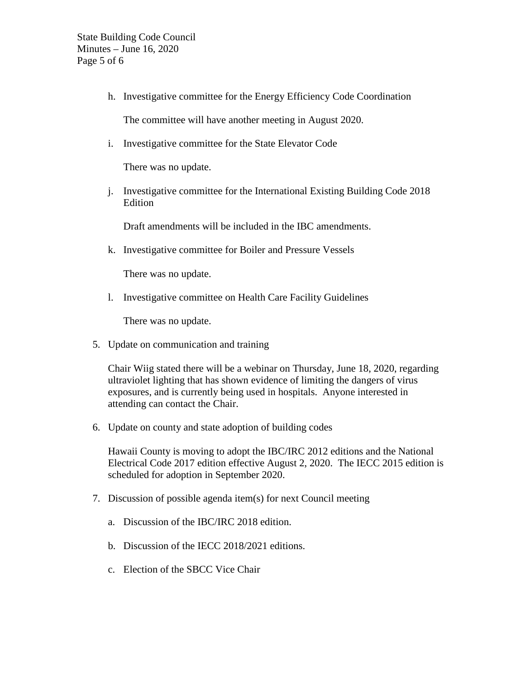h. Investigative committee for the Energy Efficiency Code Coordination

The committee will have another meeting in August 2020.

i. Investigative committee for the State Elevator Code

There was no update.

j. Investigative committee for the International Existing Building Code 2018 Edition

Draft amendments will be included in the IBC amendments.

k. Investigative committee for Boiler and Pressure Vessels

There was no update.

l. Investigative committee on Health Care Facility Guidelines

There was no update.

5. Update on communication and training

Chair Wiig stated there will be a webinar on Thursday, June 18, 2020, regarding ultraviolet lighting that has shown evidence of limiting the dangers of virus exposures, and is currently being used in hospitals. Anyone interested in attending can contact the Chair.

6. Update on county and state adoption of building codes

Hawaii County is moving to adopt the IBC/IRC 2012 editions and the National Electrical Code 2017 edition effective August 2, 2020. The IECC 2015 edition is scheduled for adoption in September 2020.

- 7. Discussion of possible agenda item(s) for next Council meeting
	- a. Discussion of the IBC/IRC 2018 edition.
	- b. Discussion of the IECC 2018/2021 editions.
	- c. Election of the SBCC Vice Chair